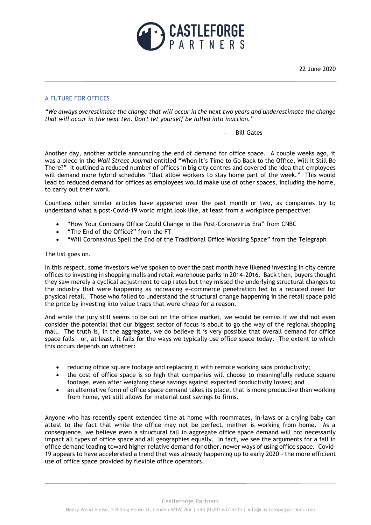

22 June 2020

## A FUTURE FOR OFFICES

*"We always overestimate the change that will occur in the next two years and underestimate the change that will occur in the next ten. Don't let yourself be lulled into inaction."*

#### Bill Gates

Another day, another article announcing the end of demand for office space. A couple weeks ago, it was a piece in the *Wall Street Journal* entitled "When It's Time to Go Back to the Office, Will It Still Be There?" It outlined a reduced number of offices in big city centres and covered the idea that employees will demand more hybrid schedules "that allow workers to stay home part of the week." This would lead to reduced demand for offices as employees would make use of other spaces, including the home, to carry out their work.

Countless other similar articles have appeared over the past month or two, as companies try to understand what a post-Covid-19 world might look like, at least from a workplace perspective:

- "How Your Company Office Could Change in the Post-Coronavirus Era" from CNBC
- "The End of the Office?" from the FT
- "Will Coronavirus Spell the End of the Traditional Office Working Space" from the Telegraph

#### The list goes on.

In this respect, some investors we've spoken to over the past month have likened investing in city centre offices to investing in shopping malls and retail warehouse parks in 2014-2016. Back then, buyers thought they saw merely a cyclical adjustment to cap rates but they missed the underlying structural changes to the industry that were happening as increasing e-commerce penetration led to a reduced need for physical retail. Those who failed to understand the structural change happening in the retail space paid the price by investing into value traps that were cheap for a reason.

And while the jury still seems to be out on the office market, we would be remiss if we did not even consider the potential that our biggest sector of focus is about to go the way of the regional shopping mall. The truth is, in the aggregate, we do believe it is very possible that overall demand for office space falls – or, at least, it falls for the ways we typically use office space today. The extent to which this occurs depends on whether:

- reducing office square footage and replacing it with remote working saps productivity;
- the cost of office space is so high that companies will choose to meaningfully reduce square footage, even after weighing these savings against expected productivity losses; and
- an alternative form of office space demand takes its place, that is more productive than working from home, yet still allows for material cost savings to firms.

Anyone who has recently spent extended time at home with roommates, in-laws or a crying baby can attest to the fact that while the office may not be perfect, neither is working from home. As a consequence, we believe even a structural fall in aggregate office space demand will not necessarily impact all types of office space and all geographies equally. In fact, we see the arguments for a fall in office demand leading toward higher relative demand for other, newer ways of using office space. Covid-19 appears to have accelerated a trend that was already happening up to early 2020 – the more efficient use of office space provided by flexible office operators.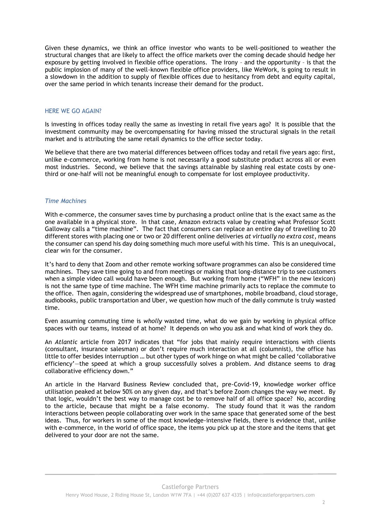Given these dynamics, we think an office investor who wants to be well-positioned to weather the structural changes that are likely to affect the office markets over the coming decade should hedge her exposure by getting involved in flexible office operations. The irony – and the opportunity – is that the public implosion of many of the well-known flexible office providers, like WeWork, is going to result in a slowdown in the addition to supply of flexible offices due to hesitancy from debt and equity capital, over the same period in which tenants increase their demand for the product.

### HERE WE GO AGAIN?

Is investing in offices today really the same as investing in retail five years ago? It is possible that the investment community may be overcompensating for having missed the structural signals in the retail market and is attributing the same retail dynamics to the office sector today.

We believe that there are two material differences between offices today and retail five years ago: first, unlike e-commerce, working from home is not necessarily a good substitute product across all or even most industries. Second, we believe that the savings attainable by slashing real estate costs by onethird or one-half will not be meaningful enough to compensate for lost employee productivity.

### *Time Machines*

With e-commerce, the consumer saves time by purchasing a product online that is the exact same as the one available in a physical store. In that case, Amazon extracts value by creating what Professor Scott Galloway calls a "time machine". The fact that consumers can replace an entire day of travelling to 20 different stores with placing one or two or 20 different online deliveries *at virtually no extra cost*, means the consumer can spend his day doing something much more useful with his time. This is an unequivocal, clear win for the consumer.

It's hard to deny that Zoom and other remote working software programmes can also be considered time machines. They save time going to and from meetings or making that long-distance trip to see customers when a simple video call would have been enough. But working from home ("WFH" in the new lexicon) is not the same type of time machine. The WFH time machine primarily acts to replace the commute to the office. Then again, considering the widespread use of smartphones, mobile broadband, cloud storage, audiobooks, public transportation and Uber, we question how much of the daily commute is truly wasted time.

Even assuming commuting time is *wholly* wasted time, what do we gain by working in physical office spaces with our teams, instead of at home? It depends on who you ask and what kind of work they do.

An *Atlantic* article from 2017 indicates that "for jobs that mainly require interactions with clients (consultant, insurance salesman) or don't require much interaction at all (columnist), the office has little to offer besides interruption … but other types of work hinge on what might be called 'collaborative efficiency'—the speed at which a group successfully solves a problem. And distance seems to drag collaborative efficiency down."

An article in the Harvard Business Review concluded that, pre-Covid-19, knowledge worker office utilisation peaked at below 50% on any given day, and that's before Zoom changes the way we meet. By that logic, wouldn't the best way to manage cost be to remove half of all office space? No, according to the article, because that might be a false economy. The study found that it was the random interactions between people collaborating over work in the same space that generated some of the best ideas. Thus, for workers in some of the most knowledge-intensive fields, there is evidence that, unlike with e-commerce, in the world of office space, the items you pick up at the store and the items that get delivered to your door are not the same.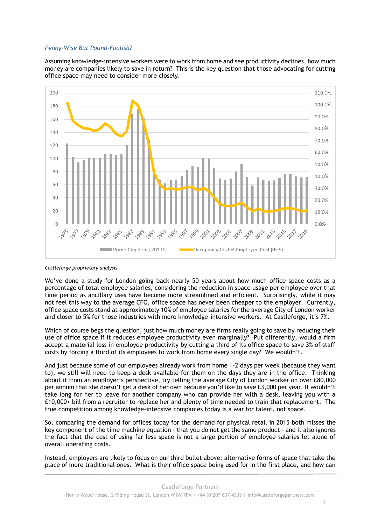### *Penny-Wise But Pound-Foolish?*

Assuming knowledge-intensive workers were to work from home and see productivity declines, how much money are companies likely to save in return? This is the key question that those advocating for cutting office space may need to consider more closely.



*Castleforge proprietary analysis*

We've done a study for London going back nearly 50 years about how much office space costs as a percentage of total employee salaries, considering the reduction in space usage per employee over that time period as ancillary uses have become more streamlined and efficient. Surprisingly, while it may not feel this way to the average CFO, office space has never been cheaper to the employer. Currently, office space costs stand at approximately 10% of employee salaries for the average City of London worker and closer to 5% for those industries with more knowledge-intensive workers. At Castleforge, it's 7%.

Which of course begs the question, just how much money are firms really going to save by reducing their use of office space if it reduces employee productivity even marginally? Put differently, would a firm accept a material loss in employee productivity by cutting a third of its office space to save 3% of staff costs by forcing a third of its employees to work from home every single day? We wouldn't.

And just because some of our employees already work from home 1-2 days per week (because they want to), we still will need to keep a desk available for them on the days they are in the office. Thinking about it from an employer's perspective, try telling the average City of London worker on over £80,000 per annum that she doesn't get a desk of her own because you'd like to save £3,000 per year. It wouldn't take long for her to leave for another company who can provide her with a desk, leaving you with a £10,000+ bill from a recruiter to replace her and plenty of time needed to train that replacement. The true competition among knowledge-intensive companies today is a war for talent, not space.

So, comparing the demand for offices today for the demand for physical retail in 2015 both misses the key component of the time machine equation - that you do not get the same product - and it also ignores the fact that the cost of using far less space is not a large portion of employee salaries let alone of overall operating costs.

Instead, employers are likely to focus on our third bullet above: alternative forms of space that take the place of more traditional ones. What is their office space being used for in the first place, and how can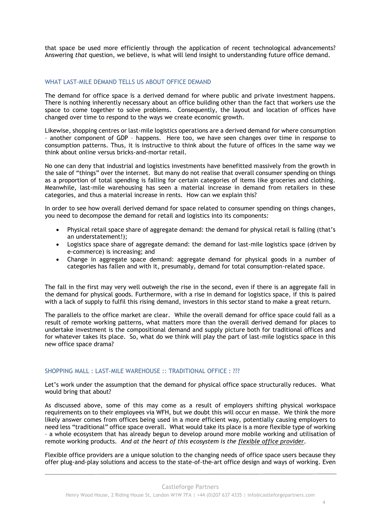that space be used more efficiently through the application of recent technological advancements? Answering *that* question, we believe, is what will lend insight to understanding future office demand.

### WHAT LAST-MILE DEMAND TELLS US ABOUT OFFICE DEMAND

The demand for office space is a derived demand for where public and private investment happens. There is nothing inherently necessary about an office building other than the fact that workers use the space to come together to solve problems. Consequently, the layout and location of offices have changed over time to respond to the ways we create economic growth.

Likewise, shopping centres or last-mile logistics operations are a derived demand for where consumption – another component of GDP – happens. Here too, we have seen changes over time in response to consumption patterns. Thus, it is instructive to think about the future of offices in the same way we think about online versus bricks-and-mortar retail.

No one can deny that industrial and logistics investments have benefitted massively from the growth in the sale of "things" over the internet. But many do not realise that overall consumer spending on things as a proportion of total spending is falling for certain categories of items like groceries and clothing. Meanwhile, last-mile warehousing has seen a material increase in demand from retailers in these categories, and thus a material increase in rents. How can we explain this?

In order to see how overall derived demand for space related to consumer spending on things changes, you need to decompose the demand for retail and logistics into its components:

- Physical retail space share of aggregate demand: the demand for physical retail is falling (that's an understatement!);
- Logistics space share of aggregate demand: the demand for last-mile logistics space (driven by e-commerce) is increasing; and
- Change in aggregate space demand: aggregate demand for physical goods in a number of categories has fallen and with it, presumably, demand for total consumption-related space.

The fall in the first may very well outweigh the rise in the second, even if there is an aggregate fall in the demand for physical goods. Furthermore, with a rise in demand for logistics space, if this is paired with a lack of supply to fulfil this rising demand, investors in this sector stand to make a great return.

The parallels to the office market are clear. While the overall demand for office space could fall as a result of remote working patterns, what matters more than the overall derived demand for places to undertake investment is the compositional demand and supply picture both for traditional offices and for whatever takes its place. So, what do we think will play the part of last-mile logistics space in this new office space drama?

## SHOPPING MALL : LAST-MILE WAREHOUSE :: TRADITIONAL OFFICE : ???

Let's work under the assumption that the demand for physical office space structurally reduces. What would bring that about?

As discussed above, some of this may come as a result of employers shifting physical workspace requirements on to their employees via WFH, but we doubt this will occur en masse. We think the more likely answer comes from offices being used in a more efficient way, potentially causing employers to need less "traditional" office space overall. What would take its place is a more flexible type of working – a whole ecosystem that has already begun to develop around more mobile working and utilisation of remote working products. *And at the heart of this ecosystem is the flexible office provider.*

Flexible office providers are a unique solution to the changing needs of office space users because they offer plug-and-play solutions and access to the state-of-the-art office design and ways of working. Even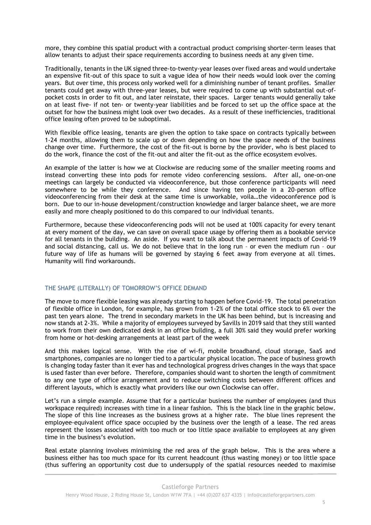more, they combine this spatial product with a contractual product comprising shorter-term leases that allow tenants to adjust their space requirements according to business needs at any given time.

Traditionally, tenants in the UK signed three-to-twenty-year leases over fixed areas and would undertake an expensive fit-out of this space to suit a vague idea of how their needs would look over the coming years. But over time, this process only worked well for a diminishing number of tenant profiles. Smaller tenants could get away with three-year leases, but were required to come up with substantial out-ofpocket costs in order to fit out, and later reinstate, their spaces. Larger tenants would generally take on at least five- if not ten- or twenty-year liabilities and be forced to set up the office space at the outset for how the business might look over two decades. As a result of these inefficiencies, traditional office leasing often proved to be suboptimal.

With flexible office leasing, tenants are given the option to take space on contracts typically between 1-24 months, allowing them to scale up or down depending on how the space needs of the business change over time. Furthermore, the cost of the fit-out is borne by the provider, who is best placed to do the work, finance the cost of the fit-out and alter the fit-out as the office ecosystem evolves.

An example of the latter is how we at Clockwise are reducing some of the smaller meeting rooms and instead converting these into pods for remote video conferencing sessions. After all, one-on-one meetings can largely be conducted via videoconference, but those conference participants will need somewhere to be while they conference. And since having ten people in a 20-person office videoconferencing from their desk at the same time is unworkable, voila…the videoconference pod is born. Due to our in-house development/construction knowledge and larger balance sheet, we are more easily and more cheaply positioned to do this compared to our individual tenants.

Furthermore, because these videoconferencing pods will not be used at 100% capacity for every tenant at every moment of the day, we can save on overall space usage by offering them as a bookable service for all tenants in the building. An aside. If you want to talk about the permanent impacts of Covid-19 and social distancing, call us. We do not believe that in the long run – or even the medium run – our future way of life as humans will be governed by staying 6 feet away from everyone at all times. Humanity will find workarounds.

## THE SHAPE (LITERALLY) OF TOMORROW'S OFFICE DEMAND

The move to more flexible leasing was already starting to happen before Covid-19. The total penetration of flexible office in London, for example, has grown from 1-2% of the total office stock to 6% over the past ten years alone. The trend in secondary markets in the UK has been behind, but is increasing and now stands at 2-3%. While a majority of employees surveyed by Savills in 2019 said that they still wanted to work from their own dedicated desk in an office building, a full 30% said they would prefer working from home or hot-desking arrangements at least part of the week

And this makes logical sense. With the rise of wi-fi, mobile broadband, cloud storage, SaaS and smartphones, companies are no longer tied to a particular physical location. The pace of business growth is changing today faster than it ever has and technological progress drives changes in the ways that space is used faster than ever before. Therefore, companies should want to shorten the length of commitment to any one type of office arrangement and to reduce switching costs between different offices and different layouts, which is exactly what providers like our own Clockwise can offer.

Let's run a simple example. Assume that for a particular business the number of employees (and thus workspace required) increases with time in a linear fashion. This is the black line in the graphic below. The slope of this line increases as the business grows at a higher rate. The blue lines represent the employee-equivalent office space occupied by the business over the length of a lease. The red areas represent the losses associated with too much or too little space available to employees at any given time in the business's evolution.

Real estate planning involves minimising the red area of the graph below. This is the area where a business either has too much space for its current headcount (thus wasting money) or too little space (thus suffering an opportunity cost due to undersupply of the spatial resources needed to maximise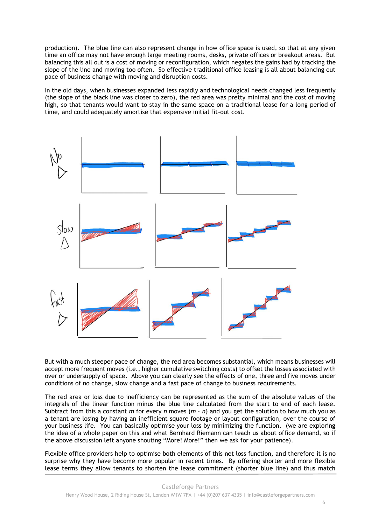production). The blue line can also represent change in how office space is used, so that at any given time an office may not have enough large meeting rooms, desks, private offices or breakout areas. But balancing this all out is a cost of moving or reconfiguration, which negates the gains had by tracking the slope of the line and moving too often. So effective traditional office leasing is all about balancing out pace of business change with moving and disruption costs.

In the old days, when businesses expanded less rapidly and technological needs changed less frequently (the slope of the black line was closer to zero), the red area was pretty minimal and the cost of moving high, so that tenants would want to stay in the same space on a traditional lease for a long period of time, and could adequately amortise that expensive initial fit-out cost.



But with a much steeper pace of change, the red area becomes substantial, which means businesses will accept more frequent moves (i.e., higher cumulative switching costs) to offset the losses associated with over or undersupply of space. Above you can clearly see the effects of one, three and five moves under conditions of no change, slow change and a fast pace of change to business requirements.

The red area or loss due to inefficiency can be represented as the sum of the absolute values of the integrals of the linear function minus the blue line calculated from the start to end of each lease. Subtract from this a constant *m* for every *n* moves  $(m \cdot n)$  and you get the solution to how much you as a tenant are losing by having an inefficient square footage or layout configuration, over the course of your business life. You can basically optimise your loss by minimizing the function. (we are exploring the idea of a whole paper on this and what Bernhard Riemann can teach us about office demand, so if the above discussion left anyone shouting "More! More!" then we ask for your patience).

Flexible office providers help to optimise both elements of this net loss function, and therefore it is no surprise why they have become more popular in recent times. By offering shorter and more flexible lease terms they allow tenants to shorten the lease commitment (shorter blue line) and thus match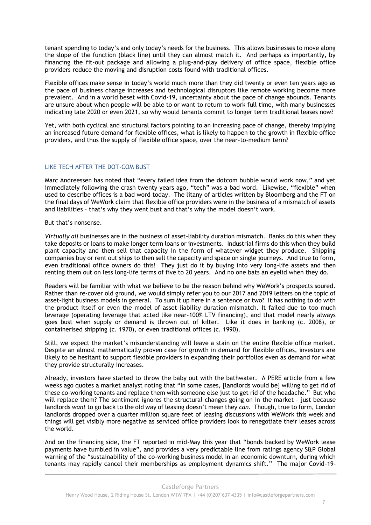tenant spending to today's and only today's needs for the business. This allows businesses to move along the slope of the function (black line) until they can almost match it. And perhaps as importantly, by financing the fit-out package and allowing a plug-and-play delivery of office space, flexible office providers reduce the moving and disruption costs found with traditional offices.

Flexible offices make sense in today's world much more than they did twenty or even ten years ago as the pace of business change increases and technological disruptors like remote working become more prevalent. And in a world beset with Covid-19, uncertainty about the pace of change abounds. Tenants are unsure about when people will be able to or want to return to work full time, with many businesses indicating late 2020 or even 2021, so why would tenants commit to longer term traditional leases now?

Yet, with both cyclical and structural factors pointing to an increasing pace of change, thereby implying an increased future demand for flexible offices, what is likely to happen to the growth in flexible office providers, and thus the supply of flexible office space, over the near-to-medium term?

# LIKE TECH AFTER THE DOT-COM BUST

Marc Andreessen has noted that "every failed idea from the dotcom bubble would work now," and yet immediately following the crash twenty years ago, "tech" was a bad word. Likewise, "flexible" when used to describe offices is a bad word today. The litany of articles written by Bloomberg and the FT on the final days of WeWork claim that flexible office providers were in the business of a mismatch of assets and liabilities – that's why they went bust and that's why the model doesn't work.

But that's nonsense.

*Virtually all* businesses are in the business of asset-liability duration mismatch. Banks do this when they take deposits or loans to make longer term loans or investments. Industrial firms do this when they build plant capacity and then sell that capacity in the form of whatever widget they produce. Shipping companies buy or rent out ships to then sell the capacity and space on single journeys. And true to form, even traditional office owners do this! They just do it by buying into very long-life assets and then renting them out on less long-life terms of five to 20 years. And no one bats an eyelid when they do.

Readers will be familiar with what we believe to be the reason behind why WeWork's prospects soured. Rather than re-cover old ground, we would simply refer you to our 2017 and 2019 letters on the topic of asset-light business models in general. To sum it up here in a sentence or two? It has nothing to do with the product itself or even the model of asset-liability duration mismatch. It failed due to too much leverage (operating leverage that acted like near-100% LTV financing), and that model nearly always goes bust when supply or demand is thrown out of kilter. Like it does in banking (c. 2008), or containerised shipping (c. 1970), or even traditional offices (c. 1990).

Still, we expect the market's misunderstanding will leave a stain on the entire flexible office market. Despite an almost mathematically proven case for growth in demand for flexible offices, investors are likely to be hesitant to support flexible providers in expanding their portfolios even as demand for what they provide structurally increases.

Already, investors have started to throw the baby out with the bathwater. A PERE article from a few weeks ago quotes a market analyst noting that "In some cases, [landlords would be] willing to get rid of these co-working tenants and replace them with someone else just to get rid of the headache." But who will replace them? The sentiment ignores the structural changes going on in the market – just because landlords *want* to go back to the old way of leasing doesn't mean they *can*. Though, true to form, London landlords dropped over a quarter million square feet of leasing discussions with WeWork this week and things will get visibly more negative as serviced office providers look to renegotiate their leases across the world.

And on the financing side, the FT reported in mid-May this year that "bonds backed by WeWork lease payments have tumbled in value", and provides a very predictable line from ratings agency S&P Global warning of the "sustainability of the co-working business model in an economic downturn, during which tenants may rapidly cancel their memberships as employment dynamics shift." The major Covid-19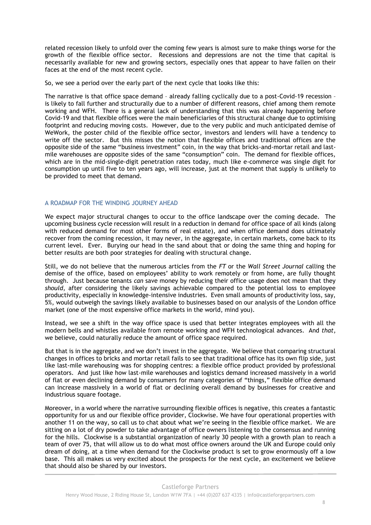related recession likely to unfold over the coming few years is almost sure to make things worse for the growth of the flexible office sector. Recessions and depressions are not the time that capital is necessarily available for new and growing sectors, especially ones that appear to have fallen on their faces at the end of the most recent cycle.

So, we see a period over the early part of the next cycle that looks like this:

The narrative is that office space demand – already falling cyclically due to a post-Covid-19 recession – is likely to fall further and structurally due to a number of different reasons, chief among them remote working and WFH. There is a general lack of understanding that this was already happening before Covid-19 and that flexible offices were the main beneficiaries of this structural change due to optimising footprint and reducing moving costs. However, due to the very public and much anticipated demise of WeWork, the poster child of the flexible office sector, investors and lenders will have a tendency to write off the sector. But this misses the notion that flexible offices and traditional offices are the opposite side of the same "business investment" coin, in the way that bricks-and-mortar retail and lastmile warehouses are opposite sides of the same "consumption" coin. The demand for flexible offices, which are in the mid-single-digit penetration rates today, much like e-commerce was single digit for consumption up until five to ten years ago, will increase, just at the moment that supply is unlikely to be provided to meet that demand.

## A ROADMAP FOR THE WINDING JOURNEY AHEAD

We expect major structural changes to occur to the office landscape over the coming decade. The upcoming business cycle recession will result in a reduction in demand for office space of all kinds (along with reduced demand for most other forms of real estate), and when office demand does ultimately recover from the coming recession, it may never, in the aggregate, in certain markets, come back to its current level. Ever. Burying our head in the sand about that or doing the same thing and hoping for better results are both poor strategies for dealing with structural change.

Still, we do not believe that the numerous articles from the *FT* or the *Wall Street Journal* calling the demise of the office, based on employees' ability to work remotely or from home, are fully thought through. Just because tenants *can* save money by reducing their office usage does not mean that they *should*, after considering the likely savings achievable compared to the potential loss to employee productivity, especially in knowledge-intensive industries. Even small amounts of productivity loss, say, 5%, would outweigh the savings likely available to businesses based on our analysis of the London office market (one of the most expensive office markets in the world, mind you).

Instead, we see a shift in the way office space is used that better integrates employees with all the modern bells and whistles available from remote working and WFH technological advances. And *that*, we believe, could naturally reduce the amount of office space required.

But that is in the aggregate, and we don't invest in the aggregate. We believe that comparing structural changes in offices to bricks and mortar retail fails to see that traditional office has its own flip side, just like last-mile warehousing was for shopping centres: a flexible office product provided by professional operators. And just like how last-mile warehouses and logistics demand increased massively in a world of flat or even declining demand by consumers for many categories of "things," flexible office demand can increase massively in a world of flat or declining overall demand by businesses for creative and industrious square footage.

Moreover, in a world where the narrative surrounding flexible offices is negative, this creates a fantastic opportunity for us and our flexible office provider, Clockwise. We have four operational properties with another 11 on the way, so call us to chat about what we're seeing in the flexible office market. We are sitting on a lot of dry powder to take advantage of office owners listening to the consensus and running for the hills. Clockwise is a substantial organization of nearly 30 people with a growth plan to reach a team of over 75, that will allow us to do what most office owners around the UK and Europe could only dream of doing, at a time when demand for the Clockwise product is set to grow enormously off a low base. This all makes us very excited about the prospects for the next cycle, an excitement we believe that should also be shared by our investors.